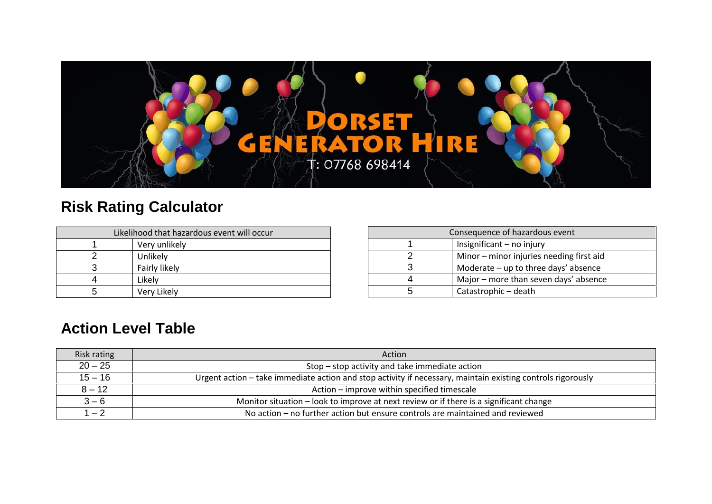

## **Risk Rating Calculator**

| Likelihood that hazardous event will occur |               |  |  |  |  |  |  |
|--------------------------------------------|---------------|--|--|--|--|--|--|
|                                            | Very unlikely |  |  |  |  |  |  |
|                                            | Unlikely      |  |  |  |  |  |  |
|                                            | Fairly likely |  |  |  |  |  |  |
|                                            | Likely        |  |  |  |  |  |  |
| 5                                          | Very Likely   |  |  |  |  |  |  |

| Consequence of hazardous event |                                          |  |  |  |  |  |
|--------------------------------|------------------------------------------|--|--|--|--|--|
| Insignificant - no injury      |                                          |  |  |  |  |  |
|                                | Minor - minor injuries needing first aid |  |  |  |  |  |
| 3                              | Moderate $-$ up to three days' absence   |  |  |  |  |  |
| 4                              | Major – more than seven days' absence    |  |  |  |  |  |
| 5                              | Catastrophic - death                     |  |  |  |  |  |

## **Action Level Table**

| Risk rating | Action                                                                                                      |
|-------------|-------------------------------------------------------------------------------------------------------------|
| $20 - 25$   | Stop – stop activity and take immediate action                                                              |
| $15 - 16$   | Urgent action - take immediate action and stop activity if necessary, maintain existing controls rigorously |
| $8 - 12$    | Action – improve within specified timescale                                                                 |
| $3 - 6$     | Monitor situation – look to improve at next review or if there is a significant change                      |
| $1 - 2$     | No action – no further action but ensure controls are maintained and reviewed                               |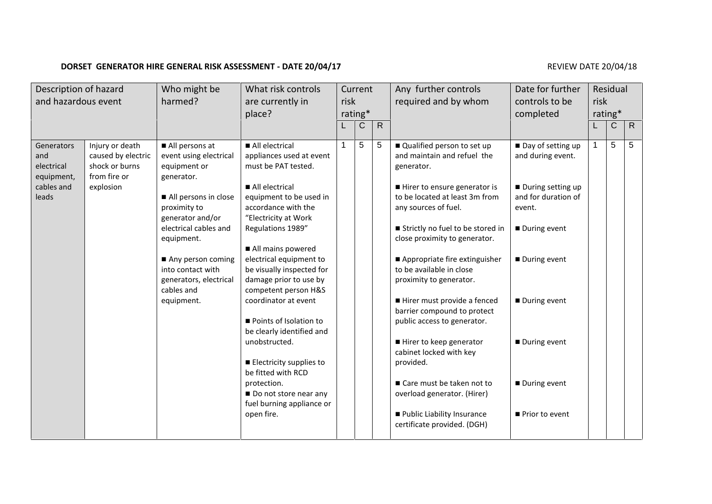## **DORSET GENERATOR HIRE GENERAL RISK ASSESSMENT - DATE 20/04/17 REVIEW DATE 20/04/18** REVIEW DATE 20/04/18

| Description of hazard<br>and hazardous event                |                                                                                      | What risk controls<br>Who might be<br>harmed?<br>are currently in<br>place?    |                                                                                                        | Current<br>risk<br>rating* |             |              | Any further controls<br>required and by whom                                                            | Date for further<br>controls to be<br>completed             | Residual<br>risk<br>rating* |              |              |
|-------------------------------------------------------------|--------------------------------------------------------------------------------------|--------------------------------------------------------------------------------|--------------------------------------------------------------------------------------------------------|----------------------------|-------------|--------------|---------------------------------------------------------------------------------------------------------|-------------------------------------------------------------|-----------------------------|--------------|--------------|
|                                                             |                                                                                      |                                                                                |                                                                                                        |                            | $\mathsf C$ | $\mathsf{R}$ |                                                                                                         |                                                             |                             | $\mathsf{C}$ | $\mathsf{R}$ |
| Generators<br>and<br>electrical<br>equipment,<br>cables and | Injury or death<br>caused by electric<br>shock or burns<br>from fire or<br>explosion | All persons at<br>event using electrical<br>equipment or<br>generator.         | All electrical<br>appliances used at event<br>must be PAT tested.<br>All electrical                    |                            | 5           | $\sqrt{5}$   | Qualified person to set up<br>and maintain and refuel the<br>generator.<br>Hirer to ensure generator is | Day of setting up<br>and during event.<br>During setting up | $\mathbf 1$                 | 5            | 5            |
| leads                                                       |                                                                                      | All persons in close<br>proximity to<br>generator and/or                       | equipment to be used in<br>accordance with the<br>"Electricity at Work                                 |                            |             |              | to be located at least 3m from<br>any sources of fuel.                                                  | and for duration of<br>event.                               |                             |              |              |
|                                                             |                                                                                      | electrical cables and<br>equipment.                                            | Regulations 1989"<br>All mains powered                                                                 |                            |             |              | Strictly no fuel to be stored in<br>close proximity to generator.                                       | During event                                                |                             |              |              |
|                                                             |                                                                                      | Any person coming<br>into contact with<br>generators, electrical<br>cables and | electrical equipment to<br>be visually inspected for<br>damage prior to use by<br>competent person H&S |                            |             |              | Appropriate fire extinguisher<br>to be available in close<br>proximity to generator.                    | During event                                                |                             |              |              |
|                                                             |                                                                                      | equipment.                                                                     | coordinator at event<br>Points of Isolation to                                                         |                            |             |              | Hirer must provide a fenced<br>barrier compound to protect<br>public access to generator.               | During event                                                |                             |              |              |
|                                                             |                                                                                      |                                                                                | be clearly identified and<br>unobstructed.                                                             |                            |             |              | Hirer to keep generator<br>cabinet locked with key                                                      | During event                                                |                             |              |              |
|                                                             |                                                                                      |                                                                                | Electricity supplies to<br>be fitted with RCD<br>protection.                                           |                            |             |              | provided.<br>Care must be taken not to                                                                  | During event                                                |                             |              |              |
|                                                             |                                                                                      |                                                                                | Do not store near any<br>fuel burning appliance or                                                     |                            |             |              | overload generator. (Hirer)                                                                             |                                                             |                             |              |              |
|                                                             |                                                                                      |                                                                                | open fire.                                                                                             |                            |             |              | Public Liability Insurance<br>certificate provided. (DGH)                                               | Prior to event                                              |                             |              |              |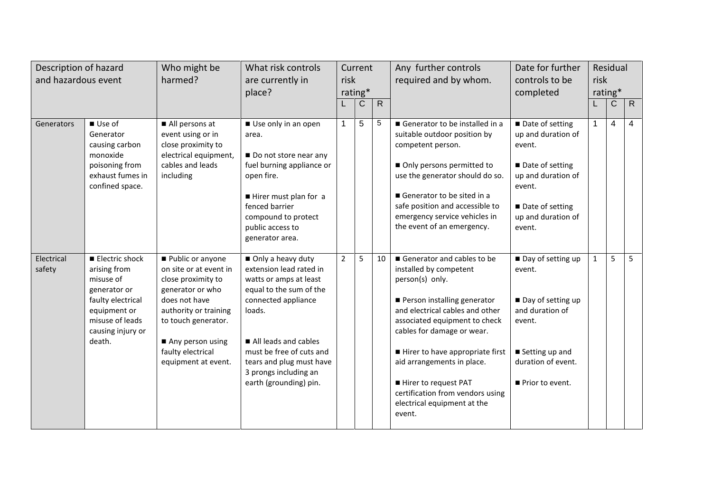| Description of hazard<br>and hazardous event |                                                                                                                                                    | Who might be<br>harmed?                                                                                                                                                                                               | What risk controls<br>are currently in<br>place?                                                                                                                                                                                                                      | Current<br>risk<br>rating* |              |              | Any further controls<br>required and by whom.                                                                                                                                                                                                                                                                                                                                  | Date for further<br>controls to be<br>completed                                                                                                       | Residual<br>risk<br>rating* |                |                |  |
|----------------------------------------------|----------------------------------------------------------------------------------------------------------------------------------------------------|-----------------------------------------------------------------------------------------------------------------------------------------------------------------------------------------------------------------------|-----------------------------------------------------------------------------------------------------------------------------------------------------------------------------------------------------------------------------------------------------------------------|----------------------------|--------------|--------------|--------------------------------------------------------------------------------------------------------------------------------------------------------------------------------------------------------------------------------------------------------------------------------------------------------------------------------------------------------------------------------|-------------------------------------------------------------------------------------------------------------------------------------------------------|-----------------------------|----------------|----------------|--|
|                                              |                                                                                                                                                    |                                                                                                                                                                                                                       |                                                                                                                                                                                                                                                                       |                            | $\mathsf{C}$ | $\mathsf{R}$ |                                                                                                                                                                                                                                                                                                                                                                                |                                                                                                                                                       |                             | $\mathsf{C}$   | $\mathsf{R}$   |  |
| Generators                                   | Use of<br>Generator<br>causing carbon<br>monoxide<br>poisoning from<br>exhaust fumes in<br>confined space.                                         | All persons at<br>event using or in<br>close proximity to<br>electrical equipment,<br>cables and leads<br>including                                                                                                   | Use only in an open<br>area.<br>Do not store near any<br>fuel burning appliance or<br>open fire.<br>Hirer must plan for a<br>fenced barrier<br>compound to protect<br>public access to<br>generator area.                                                             | $\mathbf 1$                | 5            | $\sqrt{5}$   | Generator to be installed in a<br>suitable outdoor position by<br>competent person.<br>Only persons permitted to<br>use the generator should do so.<br>Generator to be sited in a<br>safe position and accessible to<br>emergency service vehicles in<br>the event of an emergency.                                                                                            | Date of setting<br>up and duration of<br>event.<br>Date of setting<br>up and duration of<br>event.<br>Date of setting<br>up and duration of<br>event. | $\mathbf 1$                 | $\overline{4}$ | $\overline{4}$ |  |
| Electrical<br>safety                         | Electric shock<br>arising from<br>misuse of<br>generator or<br>faulty electrical<br>equipment or<br>misuse of leads<br>causing injury or<br>death. | Public or anyone<br>on site or at event in<br>close proximity to<br>generator or who<br>does not have<br>authority or training<br>to touch generator.<br>Any person using<br>faulty electrical<br>equipment at event. | Only a heavy duty<br>extension lead rated in<br>watts or amps at least<br>equal to the sum of the<br>connected appliance<br>loads.<br>All leads and cables<br>must be free of cuts and<br>tears and plug must have<br>3 prongs including an<br>earth (grounding) pin. | $\overline{2}$             | 5            | 10           | Generator and cables to be<br>installed by competent<br>person(s) only.<br>Person installing generator<br>and electrical cables and other<br>associated equipment to check<br>cables for damage or wear.<br>Hirer to have appropriate first<br>aid arrangements in place.<br>Hirer to request PAT<br>certification from vendors using<br>electrical equipment at the<br>event. | Day of setting up<br>event.<br>Day of setting up<br>and duration of<br>event.<br>Setting up and<br>duration of event.<br>Prior to event.              | $\mathbf{1}$                | 5              | 5              |  |